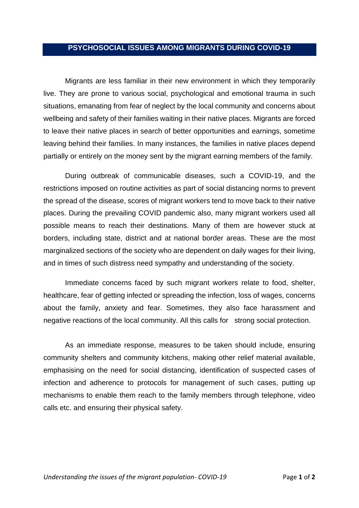## **PSYCHOSOCIAL ISSUES AMONG MIGRANTS DURING COVID-19**

Migrants are less familiar in their new environment in which they temporarily live. They are prone to various social, psychological and emotional trauma in such situations, emanating from fear of neglect by the local community and concerns about wellbeing and safety of their families waiting in their native places. Migrants are forced to leave their native places in search of better opportunities and earnings, sometime leaving behind their families. In many instances, the families in native places depend partially or entirely on the money sent by the migrant earning members of the family.

During outbreak of communicable diseases, such a COVID-19, and the restrictions imposed on routine activities as part of social distancing norms to prevent the spread of the disease, scores of migrant workers tend to move back to their native places. During the prevailing COVID pandemic also, many migrant workers used all possible means to reach their destinations. Many of them are however stuck at borders, including state, district and at national border areas. These are the most marginalized sections of the society who are dependent on daily wages for their living, and in times of such distress need sympathy and understanding of the society.

Immediate concerns faced by such migrant workers relate to food, shelter, healthcare, fear of getting infected or spreading the infection, loss of wages, concerns about the family, anxiety and fear. Sometimes, they also face harassment and negative reactions of the local community. All this calls for strong social protection.

As an immediate response, measures to be taken should include, ensuring community shelters and community kitchens, making other relief material available, emphasising on the need for social distancing, identification of suspected cases of infection and adherence to protocols for management of such cases, putting up mechanisms to enable them reach to the family members through telephone, video calls etc. and ensuring their physical safety.